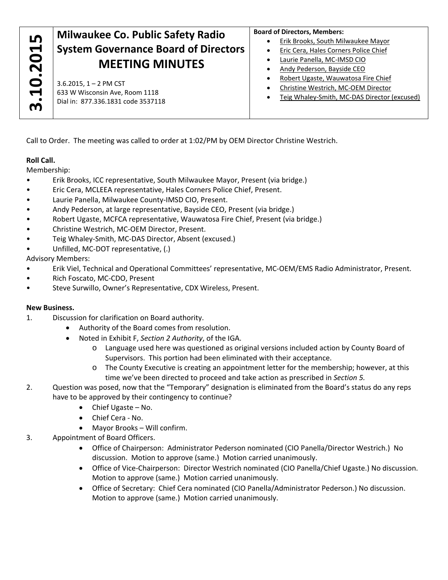# **3.6.2015, 1 – 2 PM CST CO.**<br> **3.6.2015, 1 – 2 PM CST**<br> **3.6.2015, 1 – 2 PM CST**<br> **3.6.2015, 1 – 2 PM CST**<br> **3.6.2015, 1 – 2 PM CST**<br> **3.8 W Wisconsin Ave, Room 1118**<br> **Dial in: 877.336.1831 code 3537118 System Governance Board of Directors MEETING MINUTES**

3.6.2015, 1 – 2 PM CST 633 W Wisconsin Ave, Room 1118 Dial in: 877.336.1831 code 3537118

#### **Board of Directors, Members:**

- Erik Brooks, South Milwaukee Mayor
- **•** Eric Cera, Hales Corners Police Chief
- Laurie Panella, MC‐IMSD CIO
- Andy Pederson, Bayside CEO
- Robert Ugaste, Wauwatosa Fire Chief
- Christine Westrich, MC‐OEM Director
- Teig Whaley‐Smith, MC‐DAS Director (excused)

Call to Order. The meeting was called to order at 1:02/PM by OEM Director Christine Westrich.

## **Roll Call.**

Membership:

- Erik Brooks, ICC representative, South Milwaukee Mayor, Present (via bridge.)
- Eric Cera, MCLEEA representative, Hales Corners Police Chief, Present.
- Laurie Panella, Milwaukee County‐IMSD CIO, Present.
- Andy Pederson, at large representative, Bayside CEO, Present (via bridge.)
- Robert Ugaste, MCFCA representative, Wauwatosa Fire Chief, Present (via bridge.)
- Christine Westrich, MC‐OEM Director, Present.
- Teig Whaley‐Smith, MC‐DAS Director, Absent (excused.)
- Unfilled, MC‐DOT representative, (.)

## Advisory Members:

- Erik Viel, Technical and Operational Committees' representative, MC‐OEM/EMS Radio Administrator, Present.
- Rich Foscato, MC‐CDO, Present
- Steve Surwillo, Owner's Representative, CDX Wireless, Present.

# **New Business.**

- 1. Discussion for clarification on Board authority.
	- Authority of the Board comes from resolution.
	- Noted in Exhibit F, *Section 2 Authority*, of the IGA.
		- o Language used here was questioned as original versions included action by County Board of Supervisors. This portion had been eliminated with their acceptance.
		- o The County Executive is creating an appointment letter for the membership; however, at this time we've been directed to proceed and take action as prescribed in *Section 5.*
- 2. Question was posed, now that the "Temporary" designation is eliminated from the Board's status do any reps have to be approved by their contingency to continue?
	- Chief Ugaste No.
	- Chief Cera No.
	- Mayor Brooks Will confirm.
- 3. Appointment of Board Officers.
	- Office of Chairperson: Administrator Pederson nominated (CIO Panella/Director Westrich.) No discussion. Motion to approve (same.) Motion carried unanimously.
	- Office of Vice-Chairperson: Director Westrich nominated (CIO Panella/Chief Ugaste.) No discussion. Motion to approve (same.) Motion carried unanimously.
	- Office of Secretary: Chief Cera nominated (CIO Panella/Administrator Pederson.) No discussion. Motion to approve (same.) Motion carried unanimously.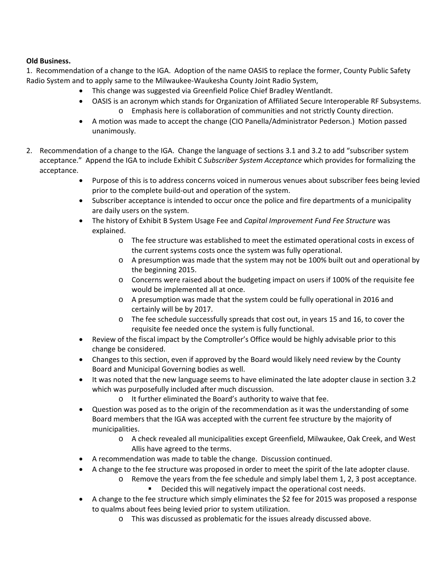#### **Old Business.**

1. Recommendation of a change to the IGA. Adoption of the name OASIS to replace the former, County Public Safety Radio System and to apply same to the Milwaukee‐Waukesha County Joint Radio System,

- This change was suggested via Greenfield Police Chief Bradley Wentlandt.
- OASIS is an acronym which stands for Organization of Affiliated Secure Interoperable RF Subsystems. o Emphasis here is collaboration of communities and not strictly County direction.
- A motion was made to accept the change (CIO Panella/Administrator Pederson.) Motion passed unanimously.
- 2. Recommendation of a change to the IGA. Change the language of sections 3.1 and 3.2 to add "subscriber system acceptance." Append the IGA to include Exhibit C *Subscriber System Acceptance* which provides for formalizing the acceptance.
	- Purpose of this is to address concerns voiced in numerous venues about subscriber fees being levied prior to the complete build‐out and operation of the system.
	- Subscriber acceptance is intended to occur once the police and fire departments of a municipality are daily users on the system.
	- The history of Exhibit B System Usage Fee and *Capital Improvement Fund Fee Structure* was explained.
		- o The fee structure was established to meet the estimated operational costs in excess of the current systems costs once the system was fully operational.
		- o A presumption was made that the system may not be 100% built out and operational by the beginning 2015.
		- o Concerns were raised about the budgeting impact on users if 100% of the requisite fee would be implemented all at once.
		- o A presumption was made that the system could be fully operational in 2016 and certainly will be by 2017.
		- o The fee schedule successfully spreads that cost out, in years 15 and 16, to cover the requisite fee needed once the system is fully functional.
	- Review of the fiscal impact by the Comptroller's Office would be highly advisable prior to this change be considered.
	- Changes to this section, even if approved by the Board would likely need review by the County Board and Municipal Governing bodies as well.
	- It was noted that the new language seems to have eliminated the late adopter clause in section 3.2 which was purposefully included after much discussion.
		- o It further eliminated the Board's authority to waive that fee.
	- Question was posed as to the origin of the recommendation as it was the understanding of some Board members that the IGA was accepted with the current fee structure by the majority of municipalities.
		- o A check revealed all municipalities except Greenfield, Milwaukee, Oak Creek, and West Allis have agreed to the terms.
	- A recommendation was made to table the change. Discussion continued.
	- A change to the fee structure was proposed in order to meet the spirit of the late adopter clause.
		- o Remove the years from the fee schedule and simply label them 1, 2, 3 post acceptance.
			- **Decided this will negatively impact the operational cost needs.**
	- A change to the fee structure which simply eliminates the \$2 fee for 2015 was proposed a response to qualms about fees being levied prior to system utilization.
		- o This was discussed as problematic for the issues already discussed above.